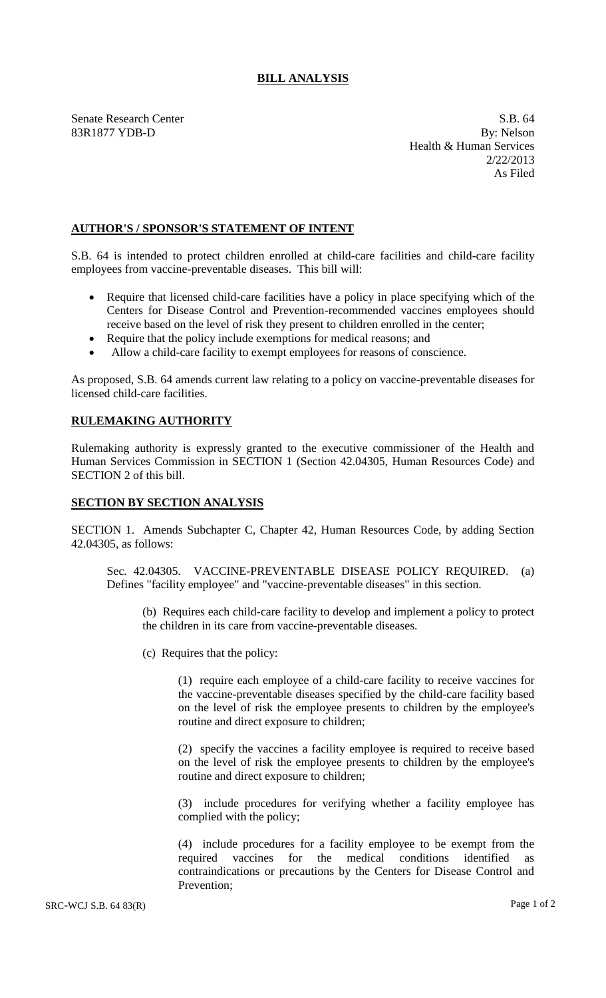## **BILL ANALYSIS**

83R1877 YDB-D

Senate Research Center S.B. 64<br>
83R1877 YDB-D By: Nelson Health & Human Services 2/22/2013 As Filed

## **AUTHOR'S / SPONSOR'S STATEMENT OF INTENT**

S.B. 64 is intended to protect children enrolled at child-care facilities and child-care facility employees from vaccine-preventable diseases. This bill will:

- Require that licensed child-care facilities have a policy in place specifying which of the Centers for Disease Control and Prevention-recommended vaccines employees should receive based on the level of risk they present to children enrolled in the center;
- Require that the policy include exemptions for medical reasons; and
- Allow a child-care facility to exempt employees for reasons of conscience.

As proposed, S.B. 64 amends current law relating to a policy on vaccine-preventable diseases for licensed child-care facilities.

## **RULEMAKING AUTHORITY**

Rulemaking authority is expressly granted to the executive commissioner of the Health and Human Services Commission in SECTION 1 (Section 42.04305, Human Resources Code) and SECTION 2 of this bill.

## **SECTION BY SECTION ANALYSIS**

SECTION 1. Amends Subchapter C, Chapter 42, Human Resources Code, by adding Section 42.04305, as follows:

Sec. 42.04305. VACCINE-PREVENTABLE DISEASE POLICY REQUIRED. (a) Defines "facility employee" and "vaccine-preventable diseases" in this section.

(b) Requires each child-care facility to develop and implement a policy to protect the children in its care from vaccine-preventable diseases.

(c) Requires that the policy:

(1) require each employee of a child-care facility to receive vaccines for the vaccine-preventable diseases specified by the child-care facility based on the level of risk the employee presents to children by the employee's routine and direct exposure to children;

(2) specify the vaccines a facility employee is required to receive based on the level of risk the employee presents to children by the employee's routine and direct exposure to children;

(3) include procedures for verifying whether a facility employee has complied with the policy;

(4) include procedures for a facility employee to be exempt from the required vaccines for the medical conditions identified as contraindications or precautions by the Centers for Disease Control and Prevention;